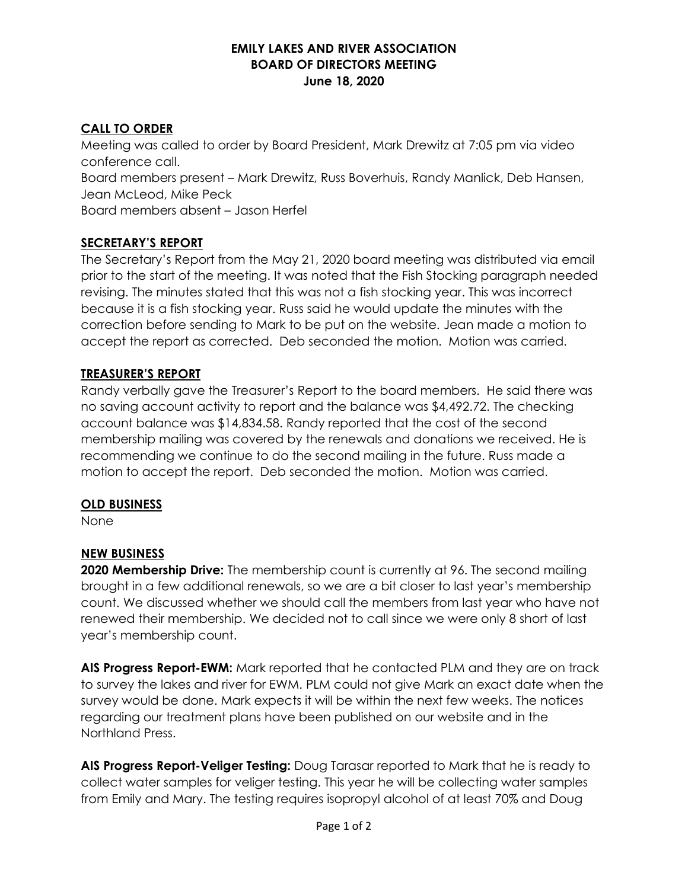### **EMILY LAKES AND RIVER ASSOCIATION BOARD OF DIRECTORS MEETING June 18, 2020**

### **CALL TO ORDER**

Meeting was called to order by Board President, Mark Drewitz at 7:05 pm via video conference call. Board members present – Mark Drewitz, Russ Boverhuis, Randy Manlick, Deb Hansen, Jean McLeod, Mike Peck Board members absent – Jason Herfel

### **SECRETARY'S REPORT**

The Secretary's Report from the May 21, 2020 board meeting was distributed via email prior to the start of the meeting. It was noted that the Fish Stocking paragraph needed revising. The minutes stated that this was not a fish stocking year. This was incorrect because it is a fish stocking year. Russ said he would update the minutes with the correction before sending to Mark to be put on the website. Jean made a motion to accept the report as corrected. Deb seconded the motion. Motion was carried.

### **TREASURER'S REPORT**

Randy verbally gave the Treasurer's Report to the board members. He said there was no saving account activity to report and the balance was \$4,492.72. The checking account balance was \$14,834.58. Randy reported that the cost of the second membership mailing was covered by the renewals and donations we received. He is recommending we continue to do the second mailing in the future. Russ made a motion to accept the report. Deb seconded the motion. Motion was carried.

### **OLD BUSINESS**

None

# **NEW BUSINESS**

**2020 Membership Drive:** The membership count is currently at 96. The second mailing brought in a few additional renewals, so we are a bit closer to last year's membership count. We discussed whether we should call the members from last year who have not renewed their membership. We decided not to call since we were only 8 short of last year's membership count.

**AIS Progress Report-EWM:** Mark reported that he contacted PLM and they are on track to survey the lakes and river for EWM. PLM could not give Mark an exact date when the survey would be done. Mark expects it will be within the next few weeks. The notices regarding our treatment plans have been published on our website and in the Northland Press.

**AIS Progress Report-Veliger Testing:** Doug Tarasar reported to Mark that he is ready to collect water samples for veliger testing. This year he will be collecting water samples from Emily and Mary. The testing requires isopropyl alcohol of at least 70% and Doug